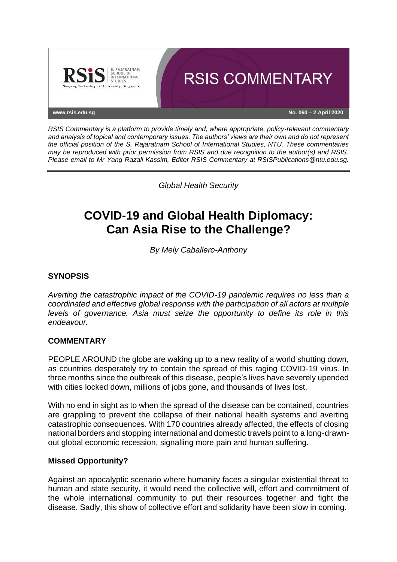

*RSIS Commentary is a platform to provide timely and, where appropriate, policy-relevant commentary and analysis of topical and contemporary issues. The authors' views are their own and do not represent the official position of the S. Rajaratnam School of International Studies, NTU. These commentaries may be reproduced with prior permission from RSIS and due recognition to the author(s) and RSIS. Please email to Mr Yang Razali Kassim, Editor RSIS Commentary at RSISPublications@ntu.edu.sg.*

*Global Health Security*

# **COVID-19 and Global Health Diplomacy: Can Asia Rise to the Challenge?**

*By Mely Caballero-Anthony*

## **SYNOPSIS**

*Averting the catastrophic impact of the COVID-19 pandemic requires no less than a coordinated and effective global response with the participation of all actors at multiple levels of governance. Asia must seize the opportunity to define its role in this endeavour.*

### **COMMENTARY**

PEOPLE AROUND the globe are waking up to a new reality of a world shutting down, as countries desperately try to contain the spread of this raging COVID-19 virus. In three months since the outbreak of this disease, people's lives have severely upended with cities locked down, millions of jobs gone, and thousands of lives lost.

With no end in sight as to when the spread of the disease can be contained, countries are grappling to prevent the collapse of their national health systems and averting catastrophic consequences. With 170 countries already affected, the effects of closing national borders and stopping international and domestic travels point to a long-drawnout global economic recession, signalling more pain and human suffering.

### **Missed Opportunity?**

Against an apocalyptic scenario where humanity faces a singular existential threat to human and state security, it would need the collective will, effort and commitment of the whole international community to put their resources together and fight the disease. Sadly, this show of collective effort and solidarity have been slow in coming.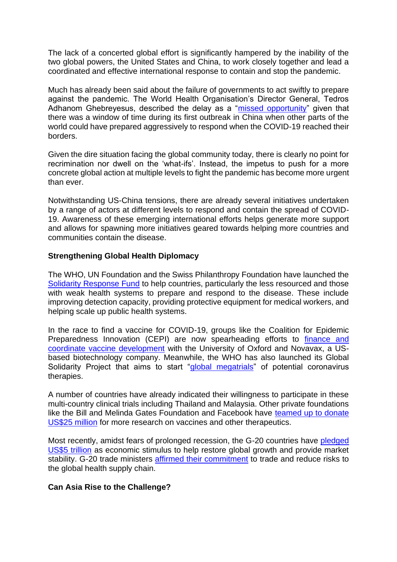The lack of a concerted global effort is significantly hampered by the inability of the two global powers, the United States and China, to work closely together and lead a coordinated and effective international response to contain and stop the pandemic.

Much has already been said about the failure of governments to act swiftly to prepare against the pandemic. The World Health Organisation's Director General, Tedros Adhanom Ghebreyesus, described the delay as a ["missed opportunity"](https://www.irishtimes.com/news/world/who-urges-all-countries-to-take-action-to-contain-coronavirus-1.4176694) given that there was a window of time during its first outbreak in China when other parts of the world could have prepared aggressively to respond when the COVID-19 reached their borders.

Given the dire situation facing the global community today, there is clearly no point for recrimination nor dwell on the 'what-ifs'. Instead, the impetus to push for a more concrete global action at multiple levels to fight the pandemic has become more urgent than ever.

Notwithstanding US-China tensions, there are already several initiatives undertaken by a range of actors at different levels to respond and contain the spread of COVID-19. Awareness of these emerging international efforts helps generate more support and allows for spawning more initiatives geared towards helping more countries and communities contain the disease.

### **Strengthening Global Health Diplomacy**

The WHO, UN Foundation and the Swiss Philanthropy Foundation have launched the [Solidarity Response Fund](https://www.who.int/emergencies/diseases/novel-coronavirus-2019/donate) to help countries, particularly the less resourced and those with weak health systems to prepare and respond to the disease. These include improving detection capacity, providing protective equipment for medical workers, and helping scale up public health systems.

In the race to find a vaccine for COVID-19, groups like the Coalition for Epidemic Preparedness Innovation (CEPI) are now spearheading efforts to [finance and](http://ir.novavax.com/news-releases/news-release-details/novavax-awarded-funding-cepi-covid-19-vaccine-development)  [coordinate vaccine development](http://ir.novavax.com/news-releases/news-release-details/novavax-awarded-funding-cepi-covid-19-vaccine-development) with the University of Oxford and Novavax, a USbased biotechnology company. Meanwhile, the WHO has also launched its Global Solidarity Project that aims to start ["global megatrials"](https://www.statnews.com/2020/03/18/who-to-launch-multinational-trial-to-jumpstart-search-for-coronavirus-drugs/) of potential coronavirus therapies.

A number of countries have already indicated their willingness to participate in these multi-country clinical trials including Thailand and Malaysia. Other private foundations like the Bill and Melinda Gates Foundation and Facebook have [teamed up to donate](https://mega.onemega.com/facebook-mark-zuckerberg-donate-25m-for-covid-19-how-much-wealth/)  [US\\$25 million](https://mega.onemega.com/facebook-mark-zuckerberg-donate-25m-for-covid-19-how-much-wealth/) for more research on vaccines and other therapeutics.

Most recently, amidst fears of prolonged recession, the G-20 countries have [pledged](https://www.straitstimes.com/world/middle-east/coronavirus-g-20-leaders-commit-to-united-front-against-pandemic)  [US\\$5 trillion](https://www.straitstimes.com/world/middle-east/coronavirus-g-20-leaders-commit-to-united-front-against-pandemic) as economic stimulus to help restore global growth and provide market stability. G-20 trade ministers [affirmed their commitment](https://www.straitstimes.com/business/g-20-ministers-agree-on-importance-of-coordinated-trade-action) to trade and reduce risks to the global health supply chain.

## **Can Asia Rise to the Challenge?**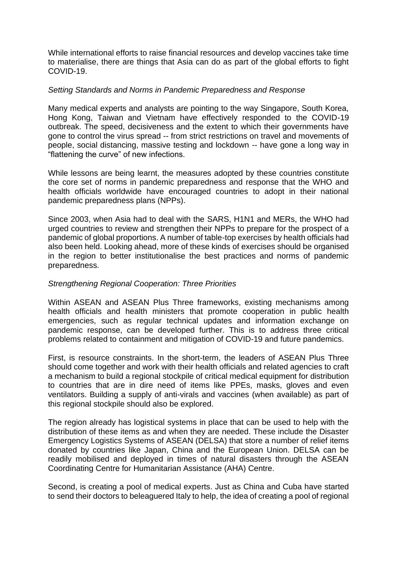While international efforts to raise financial resources and develop vaccines take time to materialise, there are things that Asia can do as part of the global efforts to fight COVID-19.

### *Setting Standards and Norms in Pandemic Preparedness and Response*

Many medical experts and analysts are pointing to the way Singapore, South Korea, Hong Kong, Taiwan and Vietnam have effectively responded to the COVID-19 outbreak. The speed, decisiveness and the extent to which their governments have gone to control the virus spread -- from strict restrictions on travel and movements of people, social distancing, massive testing and lockdown -- have gone a long way in "flattening the curve" of new infections.

While lessons are being learnt, the measures adopted by these countries constitute the core set of norms in pandemic preparedness and response that the WHO and health officials worldwide have encouraged countries to adopt in their national pandemic preparedness plans (NPPs).

Since 2003, when Asia had to deal with the SARS, H1N1 and MERs, the WHO had urged countries to review and strengthen their NPPs to prepare for the prospect of a pandemic of global proportions. A number of table-top exercises by health officials had also been held. Looking ahead, more of these kinds of exercises should be organised in the region to better institutionalise the best practices and norms of pandemic preparedness.

#### *Strengthening Regional Cooperation: Three Priorities*

Within ASEAN and ASEAN Plus Three frameworks, existing mechanisms among health officials and health ministers that promote cooperation in public health emergencies, such as regular technical updates and information exchange on pandemic response, can be developed further. This is to address three critical problems related to containment and mitigation of COVID-19 and future pandemics.

First, is resource constraints. In the short-term, the leaders of ASEAN Plus Three should come together and work with their health officials and related agencies to craft a mechanism to build a regional stockpile of critical medical equipment for distribution to countries that are in dire need of items like PPEs, masks, gloves and even ventilators. Building a supply of anti-virals and vaccines (when available) as part of this regional stockpile should also be explored.

The region already has logistical systems in place that can be used to help with the distribution of these items as and when they are needed. These include the Disaster Emergency Logistics Systems of ASEAN (DELSA) that store a number of relief items donated by countries like Japan, China and the European Union. DELSA can be readily mobilised and deployed in times of natural disasters through the ASEAN Coordinating Centre for Humanitarian Assistance (AHA) Centre.

Second, is creating a pool of medical experts. Just as China and Cuba have started to send their doctors to beleaguered Italy to help, the idea of creating a pool of regional